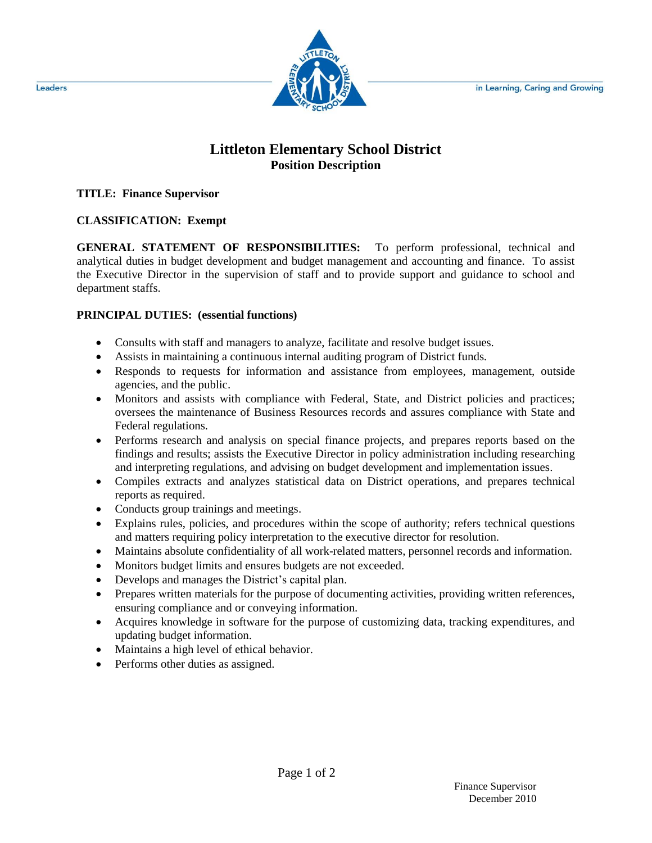

# **Littleton Elementary School District Position Description**

#### **TITLE: Finance Supervisor**

## **CLASSIFICATION: Exempt**

**GENERAL STATEMENT OF RESPONSIBILITIES:** To perform professional, technical and analytical duties in budget development and budget management and accounting and finance. To assist the Executive Director in the supervision of staff and to provide support and guidance to school and department staffs.

## **PRINCIPAL DUTIES: (essential functions)**

- Consults with staff and managers to analyze, facilitate and resolve budget issues.
- Assists in maintaining a continuous internal auditing program of District funds.
- Responds to requests for information and assistance from employees, management, outside agencies, and the public.
- Monitors and assists with compliance with Federal, State, and District policies and practices; oversees the maintenance of Business Resources records and assures compliance with State and Federal regulations.
- Performs research and analysis on special finance projects, and prepares reports based on the findings and results; assists the Executive Director in policy administration including researching and interpreting regulations, and advising on budget development and implementation issues.
- Compiles extracts and analyzes statistical data on District operations, and prepares technical reports as required.
- Conducts group trainings and meetings.
- Explains rules, policies, and procedures within the scope of authority; refers technical questions and matters requiring policy interpretation to the executive director for resolution.
- Maintains absolute confidentiality of all work-related matters, personnel records and information.
- Monitors budget limits and ensures budgets are not exceeded.
- Develops and manages the District's capital plan.
- Prepares written materials for the purpose of documenting activities, providing written references, ensuring compliance and or conveying information.
- Acquires knowledge in software for the purpose of customizing data, tracking expenditures, and updating budget information.
- Maintains a high level of ethical behavior.
- Performs other duties as assigned.

Leaders